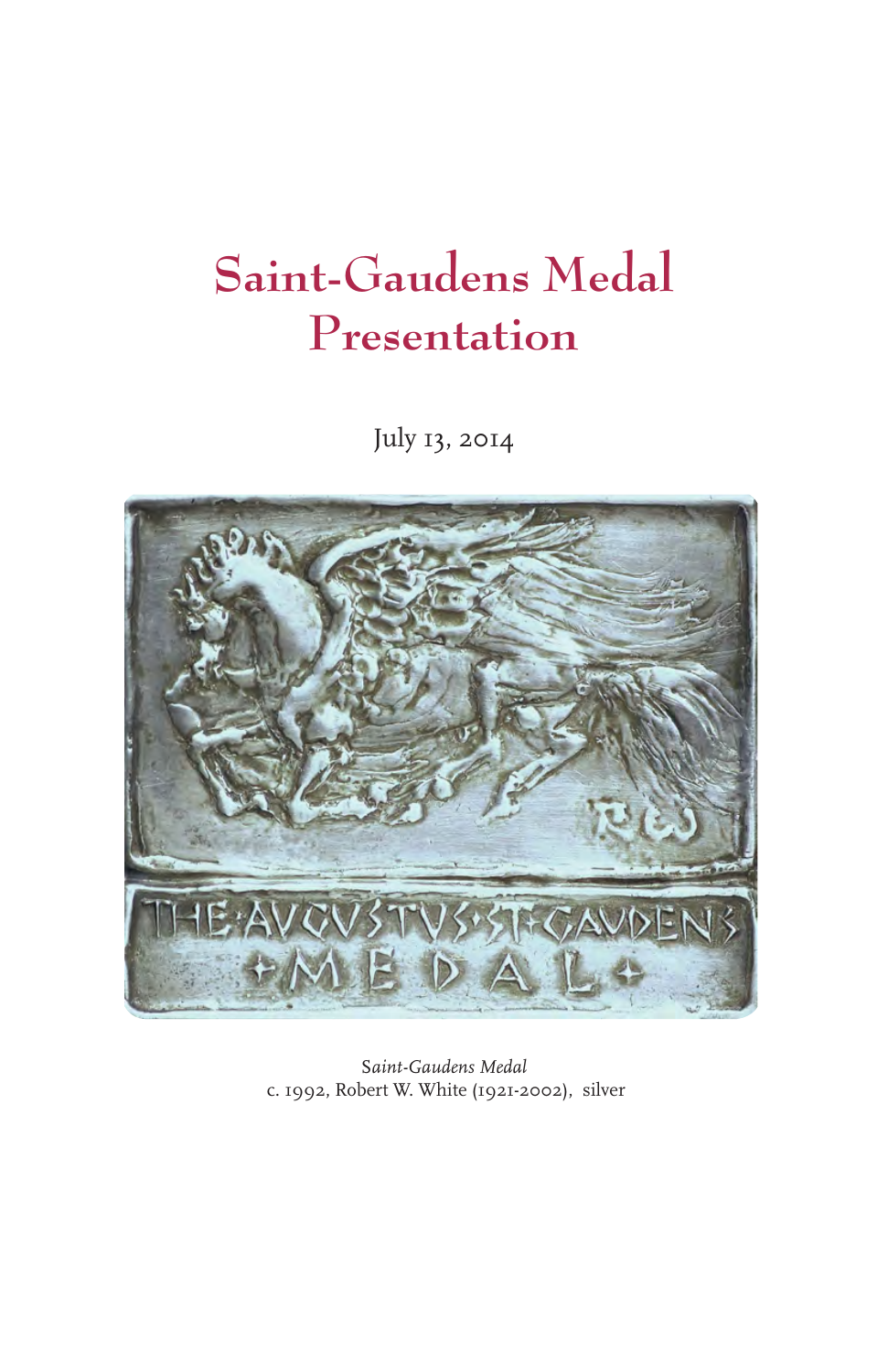## **Saint-Gaudens Medal Presentation**

July 13, 2014



S*aint-Gaudens Medal* c. 1992, Robert W. White (1921-2002), silver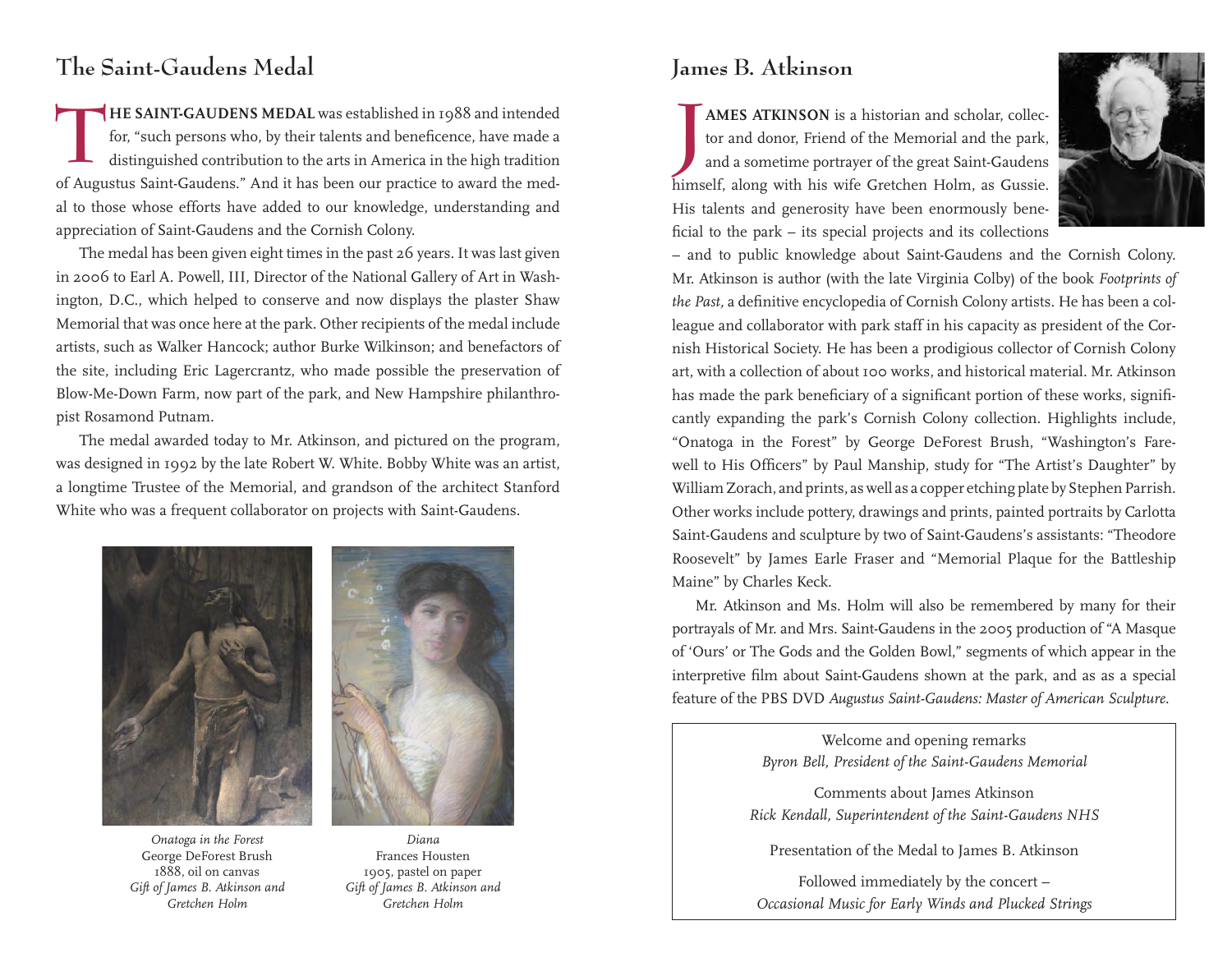## **The Saint-Gaudens Medal**

**THE SAINT-GAUDENS MEDAL** was established in 1988 and intended<br>for, "such persons who, by their talents and beneficence, have made a<br>distinguished contribution to the arts in America in the high tradition for, "such persons who, by their talents and beneficence, have made a distinguished contribution to the arts in America in the high tradition of Augustus Saint-Gaudens." And it has been our practice to award the medal to those whose efforts have added to our knowledge, understanding and appreciation of Saint-Gaudens and the Cornish Colony.

The medal has been given eight times in the past 26 years. It was last given in 2006 to Earl A. Powell, III, Director of the National Gallery of Art in Washington, D.C., which helped to conserve and now displays the plaster Shaw Memorial that was once here at the park. Other recipients of the medal include artists, such as Walker Hancock; author Burke Wilkinson; and benefactors of the site, including Eric Lagercrantz, who made possible the preservation of Blow-Me-Down Farm, now part of the park, and New Hampshire philanthropist Rosamond Putnam.

The medal awarded today to Mr. Atkinson, and pictured on the program, was designed in 1992 by the late Robert W. White. Bobby White was an artist, a longtime Trustee of the Memorial, and grandson of the architect Stanford White who was a frequent collaborator on projects with Saint-Gaudens.





*Onatoga in the Forest* George DeForest Brush 1888, oil on canvas *Gift of James B. Atkinson and Gretchen Holm*

*Diana* Frances Housten 1905, pastel on paper *Gift of James B. Atkinson and Gretchen Holm*

## **James B. Atkinson**

**J AMES ATKINSON** is a historian and scholar, collector and donor, Friend of the Memorial and the park, and a sometime portrayer of the great Saint-Gaudens himself, along with his wife Gretchen Holm, as Gussie. His talents and generosity have been enormously beneficial to the park – its special projects and its collections



– and to public knowledge about Saint-Gaudens and the Cornish Colony. Mr. Atkinson is author (with the late Virginia Colby) of the book *Footprints of the Past,* a definitive encyclopedia of Cornish Colony artists. He has been a colleague and collaborator with park staff in his capacity as president of the Cornish Historical Society. He has been a prodigious collector of Cornish Colony art, with a collection of about 100 works, and historical material. Mr. Atkinson has made the park beneficiary of a significant portion of these works, significantly expanding the park's Cornish Colony collection. Highlights include, "Onatoga in the Forest" by George DeForest Brush, "Washington's Farewell to His Officers" by Paul Manship, study for "The Artist's Daughter" by William Zorach, and prints, as well as a copper etching plate by Stephen Parrish. Other works include pottery, drawings and prints, painted portraits by Carlotta Saint-Gaudens and sculpture by two of Saint-Gaudens's assistants: "Theodore Roosevelt" by James Earle Fraser and "Memorial Plaque for the Battleship Maine" by Charles Keck.

Mr. Atkinson and Ms. Holm will also be remembered by many for their portrayals of Mr. and Mrs. Saint-Gaudens in the 2005 production of "A Masque of 'Ours' or The Gods and the Golden Bowl," segments of which appear in the interpretive film about Saint-Gaudens shown at the park, and as as a special feature of the PBS DVD *Augustus Saint-Gaudens: Master of American Sculpture.*

> Welcome and opening remarks *Byron Bell, President of the Saint-Gaudens Memorial*

Comments about James Atkinson *Rick Kendall, Superintendent of the Saint-Gaudens NHS* 

Presentation of the Medal to James B. Atkinson

Followed immediately by the concert – *Occasional Music for Early Winds and Plucked Strings*